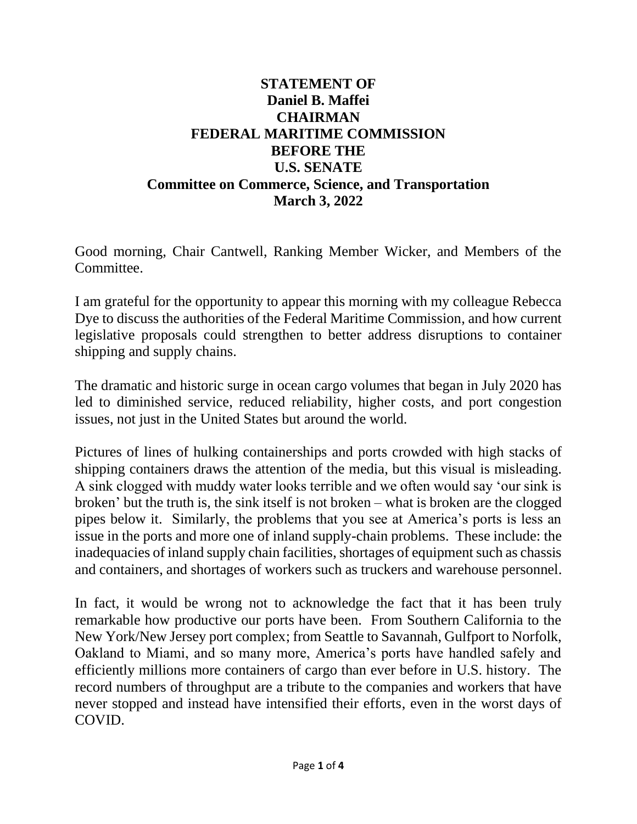## **STATEMENT OF Daniel B. Maffei CHAIRMAN FEDERAL MARITIME COMMISSION BEFORE THE U.S. SENATE Committee on Commerce, Science, and Transportation March 3, 2022**

Good morning, Chair Cantwell, Ranking Member Wicker, and Members of the Committee.

I am grateful for the opportunity to appear this morning with my colleague Rebecca Dye to discuss the authorities of the Federal Maritime Commission, and how current legislative proposals could strengthen to better address disruptions to container shipping and supply chains.

The dramatic and historic surge in ocean cargo volumes that began in July 2020 has led to diminished service, reduced reliability, higher costs, and port congestion issues, not just in the United States but around the world.

Pictures of lines of hulking containerships and ports crowded with high stacks of shipping containers draws the attention of the media, but this visual is misleading. A sink clogged with muddy water looks terrible and we often would say 'our sink is broken' but the truth is, the sink itself is not broken – what is broken are the clogged pipes below it. Similarly, the problems that you see at America's ports is less an issue in the ports and more one of inland supply-chain problems. These include: the inadequacies of inland supply chain facilities, shortages of equipment such as chassis and containers, and shortages of workers such as truckers and warehouse personnel.

In fact, it would be wrong not to acknowledge the fact that it has been truly remarkable how productive our ports have been. From Southern California to the New York/New Jersey port complex; from Seattle to Savannah, Gulfport to Norfolk, Oakland to Miami, and so many more, America's ports have handled safely and efficiently millions more containers of cargo than ever before in U.S. history. The record numbers of throughput are a tribute to the companies and workers that have never stopped and instead have intensified their efforts, even in the worst days of COVID.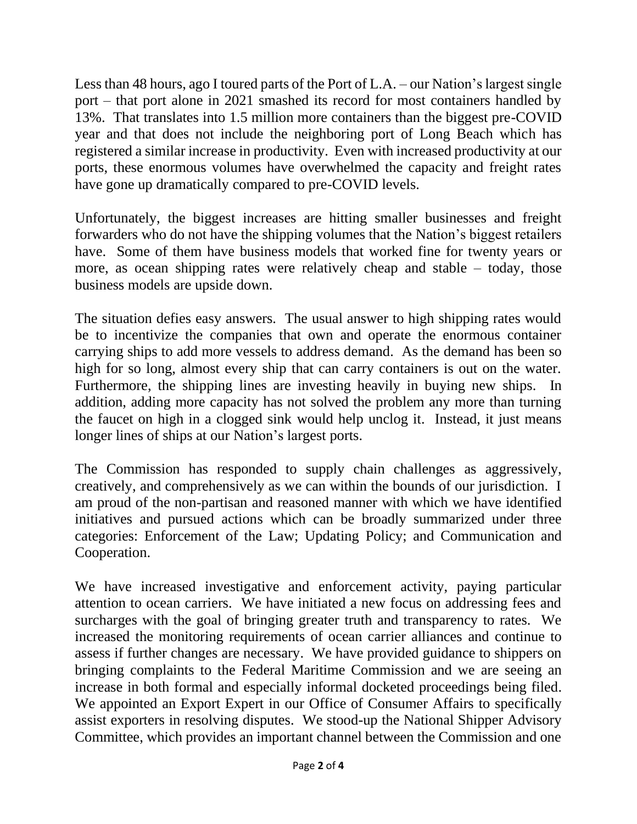Less than 48 hours, ago I toured parts of the Port of L.A. – our Nation's largest single port – that port alone in 2021 smashed its record for most containers handled by 13%. That translates into 1.5 million more containers than the biggest pre-COVID year and that does not include the neighboring port of Long Beach which has registered a similar increase in productivity. Even with increased productivity at our ports, these enormous volumes have overwhelmed the capacity and freight rates have gone up dramatically compared to pre-COVID levels.

Unfortunately, the biggest increases are hitting smaller businesses and freight forwarders who do not have the shipping volumes that the Nation's biggest retailers have. Some of them have business models that worked fine for twenty years or more, as ocean shipping rates were relatively cheap and stable – today, those business models are upside down.

The situation defies easy answers. The usual answer to high shipping rates would be to incentivize the companies that own and operate the enormous container carrying ships to add more vessels to address demand. As the demand has been so high for so long, almost every ship that can carry containers is out on the water. Furthermore, the shipping lines are investing heavily in buying new ships. In addition, adding more capacity has not solved the problem any more than turning the faucet on high in a clogged sink would help unclog it. Instead, it just means longer lines of ships at our Nation's largest ports.

The Commission has responded to supply chain challenges as aggressively, creatively, and comprehensively as we can within the bounds of our jurisdiction. I am proud of the non-partisan and reasoned manner with which we have identified initiatives and pursued actions which can be broadly summarized under three categories: Enforcement of the Law; Updating Policy; and Communication and Cooperation.

We have increased investigative and enforcement activity, paying particular attention to ocean carriers. We have initiated a new focus on addressing fees and surcharges with the goal of bringing greater truth and transparency to rates. We increased the monitoring requirements of ocean carrier alliances and continue to assess if further changes are necessary. We have provided guidance to shippers on bringing complaints to the Federal Maritime Commission and we are seeing an increase in both formal and especially informal docketed proceedings being filed. We appointed an Export Expert in our Office of Consumer Affairs to specifically assist exporters in resolving disputes. We stood-up the National Shipper Advisory Committee, which provides an important channel between the Commission and one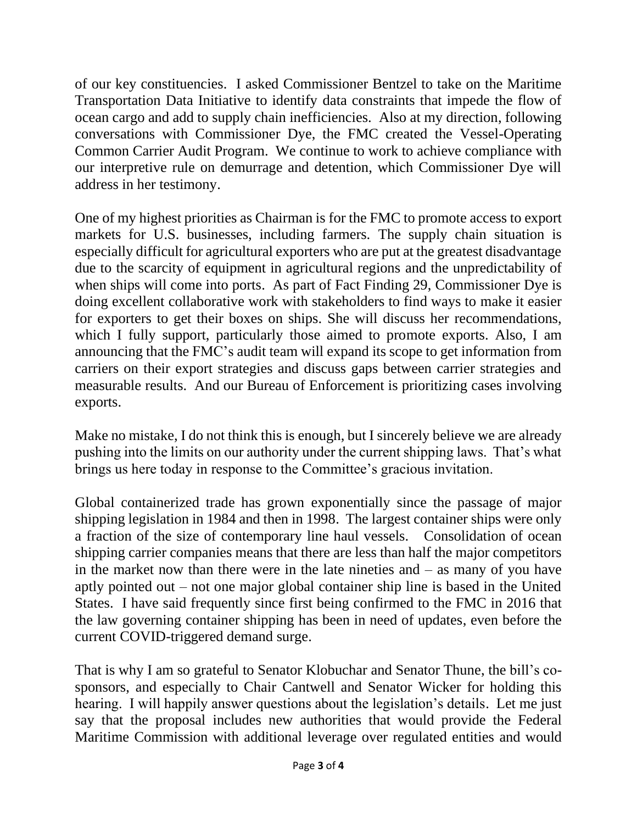of our key constituencies. I asked Commissioner Bentzel to take on the Maritime Transportation Data Initiative to identify data constraints that impede the flow of ocean cargo and add to supply chain inefficiencies. Also at my direction, following conversations with Commissioner Dye, the FMC created the Vessel-Operating Common Carrier Audit Program. We continue to work to achieve compliance with our interpretive rule on demurrage and detention, which Commissioner Dye will address in her testimony.

One of my highest priorities as Chairman is for the FMC to promote access to export markets for U.S. businesses, including farmers. The supply chain situation is especially difficult for agricultural exporters who are put at the greatest disadvantage due to the scarcity of equipment in agricultural regions and the unpredictability of when ships will come into ports. As part of Fact Finding 29, Commissioner Dye is doing excellent collaborative work with stakeholders to find ways to make it easier for exporters to get their boxes on ships. She will discuss her recommendations, which I fully support, particularly those aimed to promote exports. Also, I am announcing that the FMC's audit team will expand its scope to get information from carriers on their export strategies and discuss gaps between carrier strategies and measurable results. And our Bureau of Enforcement is prioritizing cases involving exports.

Make no mistake, I do not think this is enough, but I sincerely believe we are already pushing into the limits on our authority under the current shipping laws. That's what brings us here today in response to the Committee's gracious invitation.

Global containerized trade has grown exponentially since the passage of major shipping legislation in 1984 and then in 1998. The largest container ships were only a fraction of the size of contemporary line haul vessels. Consolidation of ocean shipping carrier companies means that there are less than half the major competitors in the market now than there were in the late nineties and  $-$  as many of you have aptly pointed out – not one major global container ship line is based in the United States. I have said frequently since first being confirmed to the FMC in 2016 that the law governing container shipping has been in need of updates, even before the current COVID-triggered demand surge.

That is why I am so grateful to Senator Klobuchar and Senator Thune, the bill's cosponsors, and especially to Chair Cantwell and Senator Wicker for holding this hearing. I will happily answer questions about the legislation's details. Let me just say that the proposal includes new authorities that would provide the Federal Maritime Commission with additional leverage over regulated entities and would